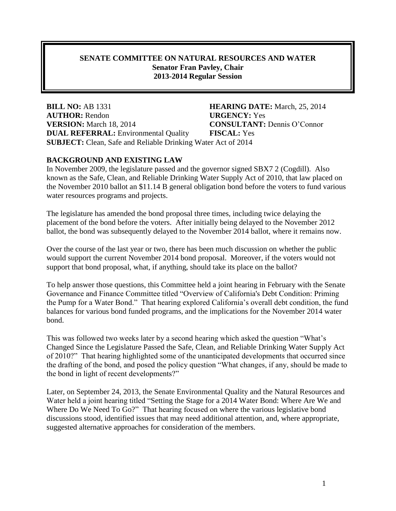#### **SENATE COMMITTEE ON NATURAL RESOURCES AND WATER Senator Fran Pavley, Chair 2013-2014 Regular Session**

**BILL NO:** AB 1331 **HEARING DATE:** March, 25, 2014 **AUTHOR:** Rendon **URGENCY:** Yes **VERSION:** March 18, 2014 **CONSULTANT:** Dennis O'Connor **DUAL REFERRAL:** Environmental Quality **FISCAL:** Yes **SUBJECT:** Clean, Safe and Reliable Drinking Water Act of 2014

#### **BACKGROUND AND EXISTING LAW**

In November 2009, the legislature passed and the governor signed SBX7 2 (Cogdill). Also known as the Safe, Clean, and Reliable Drinking Water Supply Act of 2010, that law placed on the November 2010 ballot an \$11.14 B general obligation bond before the voters to fund various water resources programs and projects.

The legislature has amended the bond proposal three times, including twice delaying the placement of the bond before the voters. After initially being delayed to the November 2012 ballot, the bond was subsequently delayed to the November 2014 ballot, where it remains now.

Over the course of the last year or two, there has been much discussion on whether the public would support the current November 2014 bond proposal. Moreover, if the voters would not support that bond proposal, what, if anything, should take its place on the ballot?

To help answer those questions, this Committee held a joint hearing in February with the Senate Governance and Finance Committee titled "Overview of California's Debt Condition: Priming the Pump for a Water Bond." That hearing explored California's overall debt condition, the fund balances for various bond funded programs, and the implications for the November 2014 water bond.

This was followed two weeks later by a second hearing which asked the question "What's Changed Since the Legislature Passed the Safe, Clean, and Reliable Drinking Water Supply Act of 2010?" That hearing highlighted some of the unanticipated developments that occurred since the drafting of the bond, and posed the policy question "What changes, if any, should be made to the bond in light of recent developments?"

Later, on September 24, 2013, the Senate Environmental Quality and the Natural Resources and Water held a joint hearing titled "Setting the Stage for a 2014 Water Bond: Where Are We and Where Do We Need To Go?" That hearing focused on where the various legislative bond discussions stood, identified issues that may need additional attention, and, where appropriate, suggested alternative approaches for consideration of the members.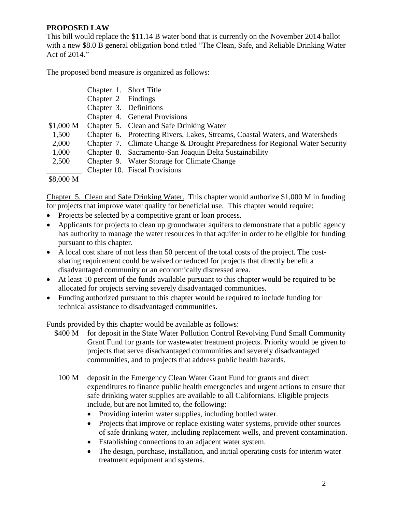## **PROPOSED LAW**

This bill would replace the \$11.14 B water bond that is currently on the November 2014 ballot with a new \$8.0 B general obligation bond titled "The Clean, Safe, and Reliable Drinking Water Act of 2014."

The proposed bond measure is organized as follows:

|           | Chapter 1. Short Title |                                                                              |
|-----------|------------------------|------------------------------------------------------------------------------|
|           | Chapter 2 Findings     |                                                                              |
|           | Chapter 3. Definitions |                                                                              |
|           |                        | Chapter 4. General Provisions                                                |
| \$1,000 M |                        | Chapter 5. Clean and Safe Drinking Water                                     |
| 1,500     |                        | Chapter 6. Protecting Rivers, Lakes, Streams, Coastal Waters, and Watersheds |
| 2,000     |                        | Chapter 7. Climate Change & Drought Preparedness for Regional Water Security |
| 1,000     |                        | Chapter 8. Sacramento-San Joaquin Delta Sustainability                       |
| 2,500     |                        | Chapter 9. Water Storage for Climate Change                                  |
|           |                        | Chapter 10. Fiscal Provisions                                                |
|           |                        |                                                                              |

\$8,000 M

Chapter 5. Clean and Safe Drinking Water. This chapter would authorize \$1,000 M in funding for projects that improve water quality for beneficial use. This chapter would require:

- Projects be selected by a competitive grant or loan process.
- Applicants for projects to clean up groundwater aquifers to demonstrate that a public agency has authority to manage the water resources in that aquifer in order to be eligible for funding pursuant to this chapter.
- A local cost share of not less than 50 percent of the total costs of the project. The costsharing requirement could be waived or reduced for projects that directly benefit a disadvantaged community or an economically distressed area.
- At least 10 percent of the funds available pursuant to this chapter would be required to be allocated for projects serving severely disadvantaged communities.
- Funding authorized pursuant to this chapter would be required to include funding for technical assistance to disadvantaged communities.

Funds provided by this chapter would be available as follows:

- \$400 M for deposit in the State Water Pollution Control Revolving Fund Small Community Grant Fund for grants for wastewater treatment projects. Priority would be given to projects that serve disadvantaged communities and severely disadvantaged communities, and to projects that address public health hazards.
- 100 M deposit in the Emergency Clean Water Grant Fund for grants and direct expenditures to finance public health emergencies and urgent actions to ensure that safe drinking water supplies are available to all Californians. Eligible projects include, but are not limited to, the following:
	- Providing interim water supplies, including bottled water.
	- Projects that improve or replace existing water systems, provide other sources of safe drinking water, including replacement wells, and prevent contamination.
	- Establishing connections to an adjacent water system.
	- The design, purchase, installation, and initial operating costs for interim water treatment equipment and systems.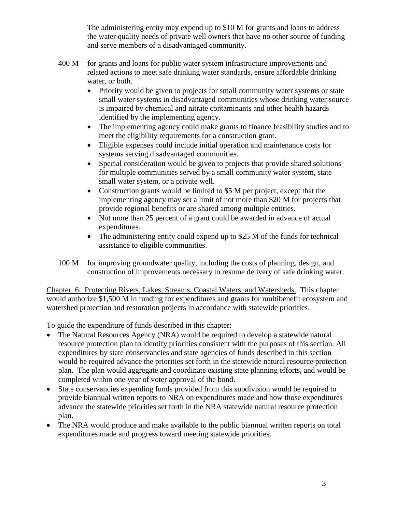The administering entity may expend up to \$10 M for grants and loans to address the water quality needs of private well owners that have no other source of funding and serve members of a disadvantaged community.

- 400 M for grants and loans for public water system infrastructure improvements and related actions to meet safe drinking water standards, ensure affordable drinking water, or both.
	- Priority would be given to projects for small community water systems or state small water systems in disadvantaged communities whose drinking water source is impaired by chemical and nitrate contaminants and other health hazards identified by the implementing agency.
	- The implementing agency could make grants to finance feasibility studies and to meet the eligibility requirements for a construction grant.
	- Eligible expenses could include initial operation and maintenance costs for systems serving disadvantaged communities.
	- Special consideration would be given to projects that provide shared solutions for multiple communities served by a small community water system, state small water system, or a private well.
	- Construction grants would be limited to \$5 M per project, except that the implementing agency may set a limit of not more than \$20 M for projects that provide regional benefits or are shared among multiple entities.
	- Not more than 25 percent of a grant could be awarded in advance of actual expenditures.
	- The administering entity could expend up to \$25 M of the funds for technical assistance to eligible communities.
- 100 M for improving groundwater quality, including the costs of planning, design, and construction of improvements necessary to resume delivery of safe drinking water.

Chapter 6. Protecting Rivers, Lakes, Streams, Coastal Waters, and Watersheds. This chapter would authorize \$1,500 M in funding for expenditures and grants for multibenefit ecosystem and watershed protection and restoration projects in accordance with statewide priorities.

To guide the expenditure of funds described in this chapter:

- The Natural Resources Agency (NRA) would be required to develop a statewide natural resource protection plan to identify priorities consistent with the purposes of this section. All expenditures by state conservancies and state agencies of funds described in this section would be required advance the priorities set forth in the statewide natural resource protection plan. The plan would aggregate and coordinate existing state planning efforts, and would be completed within one year of voter approval of the bond.
- State conservancies expending funds provided from this subdivision would be required to provide biannual written reports to NRA on expenditures made and how those expenditures advance the statewide priorities set forth in the NRA statewide natural resource protection plan.
- The NRA would produce and make available to the public biannual written reports on total expenditures made and progress toward meeting statewide priorities.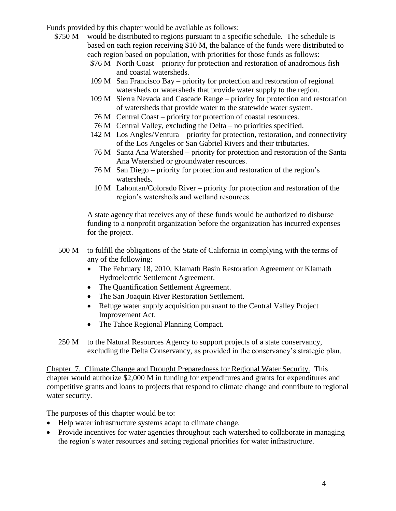Funds provided by this chapter would be available as follows:

- \$750 M would be distributed to regions pursuant to a specific schedule. The schedule is based on each region receiving \$10 M, the balance of the funds were distributed to each region based on population, with priorities for those funds as follows:
	- \$76 M North Coast priority for protection and restoration of anadromous fish and coastal watersheds.
	- 109 M San Francisco Bay priority for protection and restoration of regional watersheds or watersheds that provide water supply to the region.
	- 109 M Sierra Nevada and Cascade Range priority for protection and restoration of watersheds that provide water to the statewide water system.
	- 76 M Central Coast priority for protection of coastal resources.
	- 76 M Central Valley, excluding the Delta no priorities specified.
	- 142 M Los Angles/Ventura priority for protection, restoration, and connectivity of the Los Angeles or San Gabriel Rivers and their tributaries.
	- 76 M Santa Ana Watershed priority for protection and restoration of the Santa Ana Watershed or groundwater resources.
	- 76 M San Diego priority for protection and restoration of the region's watersheds.
	- 10 M Lahontan/Colorado River priority for protection and restoration of the region's watersheds and wetland resources.

A state agency that receives any of these funds would be authorized to disburse funding to a nonprofit organization before the organization has incurred expenses for the project.

- 500 M to fulfill the obligations of the State of California in complying with the terms of any of the following:
	- The February 18, 2010, Klamath Basin Restoration Agreement or Klamath Hydroelectric Settlement Agreement.
	- The Quantification Settlement Agreement.
	- The San Joaquin River Restoration Settlement.
	- Refuge water supply acquisition pursuant to the Central Valley Project Improvement Act.
	- The Tahoe Regional Planning Compact.
- 250 M to the Natural Resources Agency to support projects of a state conservancy, excluding the Delta Conservancy, as provided in the conservancy's strategic plan.

Chapter 7. Climate Change and Drought Preparedness for Regional Water Security. This chapter would authorize \$2,000 M in funding for expenditures and grants for expenditures and competitive grants and loans to projects that respond to climate change and contribute to regional water security.

The purposes of this chapter would be to:

- Help water infrastructure systems adapt to climate change.
- Provide incentives for water agencies throughout each watershed to collaborate in managing the region's water resources and setting regional priorities for water infrastructure.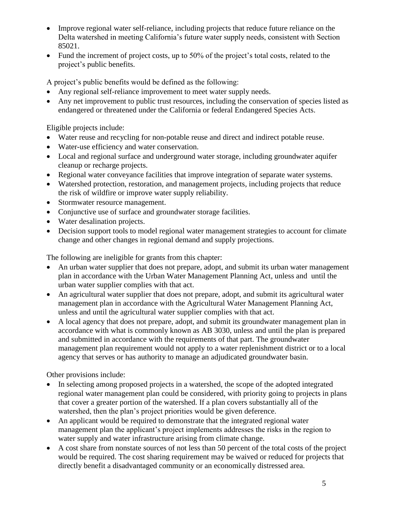- Improve regional water self-reliance, including projects that reduce future reliance on the Delta watershed in meeting California's future water supply needs, consistent with Section 85021.
- Fund the increment of project costs, up to 50% of the project's total costs, related to the project's public benefits.

A project's public benefits would be defined as the following:

- Any regional self-reliance improvement to meet water supply needs.
- Any net improvement to public trust resources, including the conservation of species listed as endangered or threatened under the California or federal Endangered Species Acts.

Eligible projects include:

- Water reuse and recycling for non-potable reuse and direct and indirect potable reuse.
- Water-use efficiency and water conservation.
- Local and regional surface and underground water storage, including groundwater aquifer cleanup or recharge projects.
- Regional water conveyance facilities that improve integration of separate water systems.
- Watershed protection, restoration, and management projects, including projects that reduce the risk of wildfire or improve water supply reliability.
- Stormwater resource management.
- Conjunctive use of surface and groundwater storage facilities.
- Water desalination projects.
- Decision support tools to model regional water management strategies to account for climate change and other changes in regional demand and supply projections.

The following are ineligible for grants from this chapter:

- An urban water supplier that does not prepare, adopt, and submit its urban water management plan in accordance with the Urban Water Management Planning Act, unless and until the urban water supplier complies with that act.
- An agricultural water supplier that does not prepare, adopt, and submit its agricultural water management plan in accordance with the Agricultural Water Management Planning Act, unless and until the agricultural water supplier complies with that act.
- A local agency that does not prepare, adopt, and submit its groundwater management plan in accordance with what is commonly known as AB 3030, unless and until the plan is prepared and submitted in accordance with the requirements of that part. The groundwater management plan requirement would not apply to a water replenishment district or to a local agency that serves or has authority to manage an adjudicated groundwater basin.

Other provisions include:

- In selecting among proposed projects in a watershed, the scope of the adopted integrated regional water management plan could be considered, with priority going to projects in plans that cover a greater portion of the watershed. If a plan covers substantially all of the watershed, then the plan's project priorities would be given deference.
- An applicant would be required to demonstrate that the integrated regional water management plan the applicant's project implements addresses the risks in the region to water supply and water infrastructure arising from climate change.
- A cost share from nonstate sources of not less than 50 percent of the total costs of the project would be required. The cost sharing requirement may be waived or reduced for projects that directly benefit a disadvantaged community or an economically distressed area.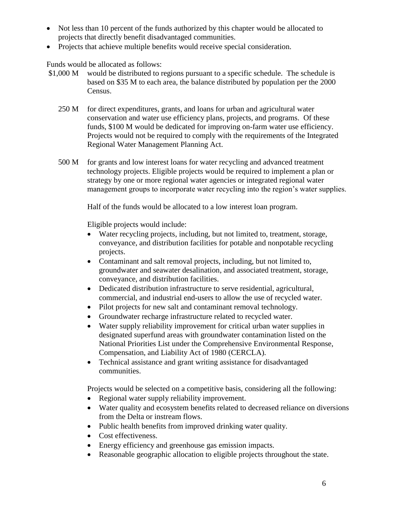- Not less than 10 percent of the funds authorized by this chapter would be allocated to projects that directly benefit disadvantaged communities.
- Projects that achieve multiple benefits would receive special consideration.

Funds would be allocated as follows:

- \$1,000 M would be distributed to regions pursuant to a specific schedule. The schedule is based on \$35 M to each area, the balance distributed by population per the 2000 Census.
	- 250 M for direct expenditures, grants, and loans for urban and agricultural water conservation and water use efficiency plans, projects, and programs. Of these funds, \$100 M would be dedicated for improving on-farm water use efficiency. Projects would not be required to comply with the requirements of the Integrated Regional Water Management Planning Act.
	- 500 M for grants and low interest loans for water recycling and advanced treatment technology projects. Eligible projects would be required to implement a plan or strategy by one or more regional water agencies or integrated regional water management groups to incorporate water recycling into the region's water supplies.

Half of the funds would be allocated to a low interest loan program.

Eligible projects would include:

- Water recycling projects, including, but not limited to, treatment, storage, conveyance, and distribution facilities for potable and nonpotable recycling projects.
- Contaminant and salt removal projects, including, but not limited to, groundwater and seawater desalination, and associated treatment, storage, conveyance, and distribution facilities.
- Dedicated distribution infrastructure to serve residential, agricultural, commercial, and industrial end-users to allow the use of recycled water.
- Pilot projects for new salt and contaminant removal technology.
- Groundwater recharge infrastructure related to recycled water.
- Water supply reliability improvement for critical urban water supplies in designated superfund areas with groundwater contamination listed on the National Priorities List under the Comprehensive Environmental Response, Compensation, and Liability Act of 1980 (CERCLA).
- Technical assistance and grant writing assistance for disadvantaged communities.

Projects would be selected on a competitive basis, considering all the following:

- Regional water supply reliability improvement.
- Water quality and ecosystem benefits related to decreased reliance on diversions from the Delta or instream flows.
- Public health benefits from improved drinking water quality.
- Cost effectiveness.
- Energy efficiency and greenhouse gas emission impacts.
- Reasonable geographic allocation to eligible projects throughout the state.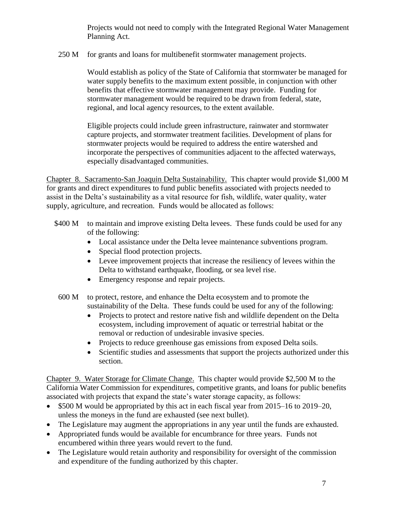Projects would not need to comply with the Integrated Regional Water Management Planning Act.

250 M for grants and loans for multibenefit stormwater management projects.

Would establish as policy of the State of California that stormwater be managed for water supply benefits to the maximum extent possible, in conjunction with other benefits that effective stormwater management may provide. Funding for stormwater management would be required to be drawn from federal, state, regional, and local agency resources, to the extent available.

Eligible projects could include green infrastructure, rainwater and stormwater capture projects, and stormwater treatment facilities. Development of plans for stormwater projects would be required to address the entire watershed and incorporate the perspectives of communities adjacent to the affected waterways, especially disadvantaged communities.

Chapter 8. Sacramento-San Joaquin Delta Sustainability. This chapter would provide \$1,000 M for grants and direct expenditures to fund public benefits associated with projects needed to assist in the Delta's sustainability as a vital resource for fish, wildlife, water quality, water supply, agriculture, and recreation. Funds would be allocated as follows:

- \$400 M to maintain and improve existing Delta levees. These funds could be used for any of the following:
	- Local assistance under the Delta levee maintenance subventions program.
	- Special flood protection projects.
	- Levee improvement projects that increase the resiliency of levees within the Delta to withstand earthquake, flooding, or sea level rise.
	- Emergency response and repair projects.
	- 600 M to protect, restore, and enhance the Delta ecosystem and to promote the sustainability of the Delta. These funds could be used for any of the following:
		- Projects to protect and restore native fish and wildlife dependent on the Delta ecosystem, including improvement of aquatic or terrestrial habitat or the removal or reduction of undesirable invasive species.
		- Projects to reduce greenhouse gas emissions from exposed Delta soils.
		- Scientific studies and assessments that support the projects authorized under this section.

Chapter 9. Water Storage for Climate Change. This chapter would provide \$2,500 M to the California Water Commission for expenditures, competitive grants, and loans for public benefits associated with projects that expand the state's water storage capacity, as follows:

- \$500 M would be appropriated by this act in each fiscal year from 2015–16 to 2019–20, unless the moneys in the fund are exhausted (see next bullet).
- The Legislature may augment the appropriations in any year until the funds are exhausted.
- Appropriated funds would be available for encumbrance for three years. Funds not encumbered within three years would revert to the fund.
- The Legislature would retain authority and responsibility for oversight of the commission and expenditure of the funding authorized by this chapter.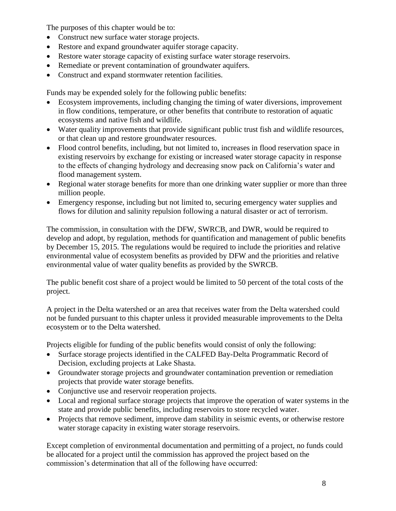The purposes of this chapter would be to:

- Construct new surface water storage projects.
- Restore and expand groundwater aquifer storage capacity.
- Restore water storage capacity of existing surface water storage reservoirs.
- Remediate or prevent contamination of groundwater aquifers.
- Construct and expand stormwater retention facilities.

Funds may be expended solely for the following public benefits:

- Ecosystem improvements, including changing the timing of water diversions, improvement in flow conditions, temperature, or other benefits that contribute to restoration of aquatic ecosystems and native fish and wildlife.
- Water quality improvements that provide significant public trust fish and wildlife resources, or that clean up and restore groundwater resources.
- Flood control benefits, including, but not limited to, increases in flood reservation space in existing reservoirs by exchange for existing or increased water storage capacity in response to the effects of changing hydrology and decreasing snow pack on California's water and flood management system.
- Regional water storage benefits for more than one drinking water supplier or more than three million people.
- Emergency response, including but not limited to, securing emergency water supplies and flows for dilution and salinity repulsion following a natural disaster or act of terrorism.

The commission, in consultation with the DFW, SWRCB, and DWR, would be required to develop and adopt, by regulation, methods for quantification and management of public benefits by December 15, 2015. The regulations would be required to include the priorities and relative environmental value of ecosystem benefits as provided by DFW and the priorities and relative environmental value of water quality benefits as provided by the SWRCB.

The public benefit cost share of a project would be limited to 50 percent of the total costs of the project.

A project in the Delta watershed or an area that receives water from the Delta watershed could not be funded pursuant to this chapter unless it provided measurable improvements to the Delta ecosystem or to the Delta watershed.

Projects eligible for funding of the public benefits would consist of only the following:

- Surface storage projects identified in the CALFED Bay-Delta Programmatic Record of Decision, excluding projects at Lake Shasta.
- Groundwater storage projects and groundwater contamination prevention or remediation projects that provide water storage benefits.
- Conjunctive use and reservoir reoperation projects.
- Local and regional surface storage projects that improve the operation of water systems in the state and provide public benefits, including reservoirs to store recycled water.
- Projects that remove sediment, improve dam stability in seismic events, or otherwise restore water storage capacity in existing water storage reservoirs.

Except completion of environmental documentation and permitting of a project, no funds could be allocated for a project until the commission has approved the project based on the commission's determination that all of the following have occurred: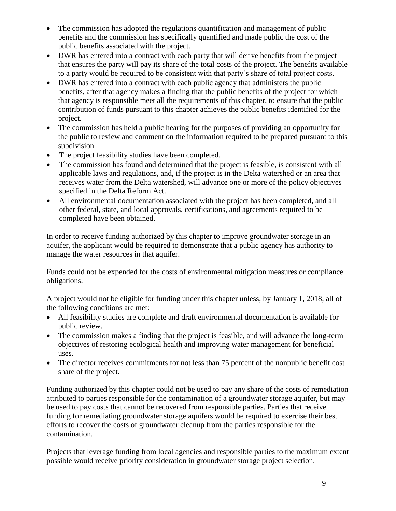- The commission has adopted the regulations quantification and management of public benefits and the commission has specifically quantified and made public the cost of the public benefits associated with the project.
- DWR has entered into a contract with each party that will derive benefits from the project that ensures the party will pay its share of the total costs of the project. The benefits available to a party would be required to be consistent with that party's share of total project costs.
- DWR has entered into a contract with each public agency that administers the public benefits, after that agency makes a finding that the public benefits of the project for which that agency is responsible meet all the requirements of this chapter, to ensure that the public contribution of funds pursuant to this chapter achieves the public benefits identified for the project.
- The commission has held a public hearing for the purposes of providing an opportunity for the public to review and comment on the information required to be prepared pursuant to this subdivision.
- The project feasibility studies have been completed.
- The commission has found and determined that the project is feasible, is consistent with all applicable laws and regulations, and, if the project is in the Delta watershed or an area that receives water from the Delta watershed, will advance one or more of the policy objectives specified in the Delta Reform Act.
- All environmental documentation associated with the project has been completed, and all other federal, state, and local approvals, certifications, and agreements required to be completed have been obtained.

In order to receive funding authorized by this chapter to improve groundwater storage in an aquifer, the applicant would be required to demonstrate that a public agency has authority to manage the water resources in that aquifer.

Funds could not be expended for the costs of environmental mitigation measures or compliance obligations.

A project would not be eligible for funding under this chapter unless, by January 1, 2018, all of the following conditions are met:

- All feasibility studies are complete and draft environmental documentation is available for public review.
- The commission makes a finding that the project is feasible, and will advance the long-term objectives of restoring ecological health and improving water management for beneficial uses.
- The director receives commitments for not less than 75 percent of the nonpublic benefit cost share of the project.

Funding authorized by this chapter could not be used to pay any share of the costs of remediation attributed to parties responsible for the contamination of a groundwater storage aquifer, but may be used to pay costs that cannot be recovered from responsible parties. Parties that receive funding for remediating groundwater storage aquifers would be required to exercise their best efforts to recover the costs of groundwater cleanup from the parties responsible for the contamination.

Projects that leverage funding from local agencies and responsible parties to the maximum extent possible would receive priority consideration in groundwater storage project selection.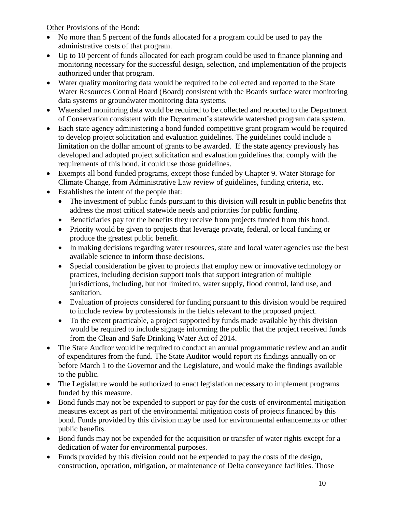Other Provisions of the Bond:

- No more than 5 percent of the funds allocated for a program could be used to pay the administrative costs of that program.
- Up to 10 percent of funds allocated for each program could be used to finance planning and monitoring necessary for the successful design, selection, and implementation of the projects authorized under that program.
- Water quality monitoring data would be required to be collected and reported to the State Water Resources Control Board (Board) consistent with the Boards surface water monitoring data systems or groundwater monitoring data systems.
- Watershed monitoring data would be required to be collected and reported to the Department of Conservation consistent with the Department's statewide watershed program data system.
- Each state agency administering a bond funded competitive grant program would be required to develop project solicitation and evaluation guidelines. The guidelines could include a limitation on the dollar amount of grants to be awarded. If the state agency previously has developed and adopted project solicitation and evaluation guidelines that comply with the requirements of this bond, it could use those guidelines.
- Exempts all bond funded programs, except those funded by Chapter 9. Water Storage for Climate Change, from Administrative Law review of guidelines, funding criteria, etc.
- Establishes the intent of the people that:
	- The investment of public funds pursuant to this division will result in public benefits that address the most critical statewide needs and priorities for public funding.
	- Beneficiaries pay for the benefits they receive from projects funded from this bond.
	- Priority would be given to projects that leverage private, federal, or local funding or produce the greatest public benefit.
	- In making decisions regarding water resources, state and local water agencies use the best available science to inform those decisions.
	- Special consideration be given to projects that employ new or innovative technology or practices, including decision support tools that support integration of multiple jurisdictions, including, but not limited to, water supply, flood control, land use, and sanitation.
	- Evaluation of projects considered for funding pursuant to this division would be required to include review by professionals in the fields relevant to the proposed project.
	- To the extent practicable, a project supported by funds made available by this division would be required to include signage informing the public that the project received funds from the Clean and Safe Drinking Water Act of 2014.
- The State Auditor would be required to conduct an annual programmatic review and an audit of expenditures from the fund. The State Auditor would report its findings annually on or before March 1 to the Governor and the Legislature, and would make the findings available to the public.
- The Legislature would be authorized to enact legislation necessary to implement programs funded by this measure.
- Bond funds may not be expended to support or pay for the costs of environmental mitigation measures except as part of the environmental mitigation costs of projects financed by this bond. Funds provided by this division may be used for environmental enhancements or other public benefits.
- Bond funds may not be expended for the acquisition or transfer of water rights except for a dedication of water for environmental purposes.
- Funds provided by this division could not be expended to pay the costs of the design, construction, operation, mitigation, or maintenance of Delta conveyance facilities. Those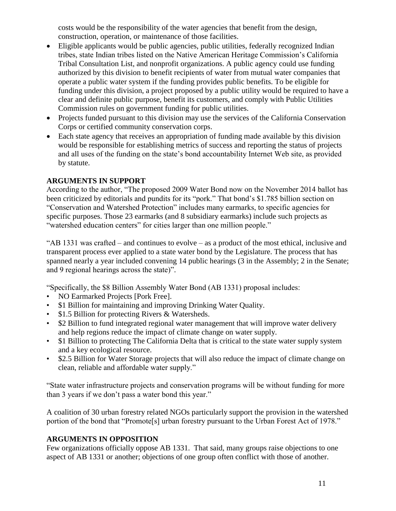costs would be the responsibility of the water agencies that benefit from the design, construction, operation, or maintenance of those facilities.

- Eligible applicants would be public agencies, public utilities, federally recognized Indian tribes, state Indian tribes listed on the Native American Heritage Commission's California Tribal Consultation List, and nonprofit organizations. A public agency could use funding authorized by this division to benefit recipients of water from mutual water companies that operate a public water system if the funding provides public benefits. To be eligible for funding under this division, a project proposed by a public utility would be required to have a clear and definite public purpose, benefit its customers, and comply with Public Utilities Commission rules on government funding for public utilities.
- Projects funded pursuant to this division may use the services of the California Conservation Corps or certified community conservation corps.
- Each state agency that receives an appropriation of funding made available by this division would be responsible for establishing metrics of success and reporting the status of projects and all uses of the funding on the state's bond accountability Internet Web site, as provided by statute.

# **ARGUMENTS IN SUPPORT**

According to the author, "The proposed 2009 Water Bond now on the November 2014 ballot has been criticized by editorials and pundits for its "pork." That bond's \$1.785 billion section on "Conservation and Watershed Protection" includes many earmarks, to specific agencies for specific purposes. Those 23 earmarks (and 8 subsidiary earmarks) include such projects as "watershed education centers" for cities larger than one million people."

"AB 1331 was crafted – and continues to evolve – as a product of the most ethical, inclusive and transparent process ever applied to a state water bond by the Legislature. The process that has spanned nearly a year included convening 14 public hearings (3 in the Assembly; 2 in the Senate; and 9 regional hearings across the state)".

"Specifically, the \$8 Billion Assembly Water Bond (AB 1331) proposal includes:

- NO Earmarked Projects [Pork Free].
- \$1 Billion for maintaining and improving Drinking Water Quality.
- \$1.5 Billion for protecting Rivers & Watersheds.
- \$2 Billion to fund integrated regional water management that will improve water delivery and help regions reduce the impact of climate change on water supply.
- \$1 Billion to protecting The California Delta that is critical to the state water supply system and a key ecological resource.
- \$2.5 Billion for Water Storage projects that will also reduce the impact of climate change on clean, reliable and affordable water supply."

"State water infrastructure projects and conservation programs will be without funding for more than 3 years if we don't pass a water bond this year."

A coalition of 30 urban forestry related NGOs particularly support the provision in the watershed portion of the bond that "Promote[s] urban forestry pursuant to the Urban Forest Act of 1978."

## **ARGUMENTS IN OPPOSITION**

Few organizations officially oppose AB 1331. That said, many groups raise objections to one aspect of AB 1331 or another; objections of one group often conflict with those of another.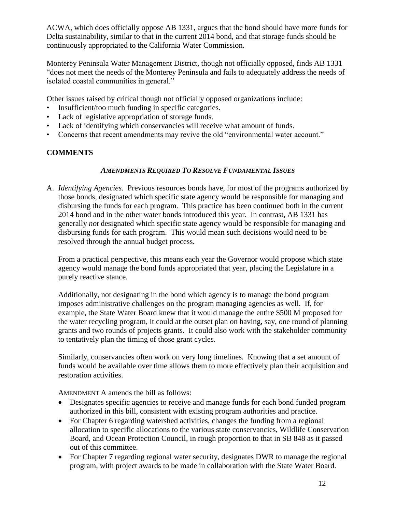ACWA, which does officially oppose AB 1331, argues that the bond should have more funds for Delta sustainability, similar to that in the current 2014 bond, and that storage funds should be continuously appropriated to the California Water Commission.

Monterey Peninsula Water Management District, though not officially opposed, finds AB 1331 "does not meet the needs of the Monterey Peninsula and fails to adequately address the needs of isolated coastal communities in general."

Other issues raised by critical though not officially opposed organizations include:

- Insufficient/too much funding in specific categories.
- Lack of legislative appropriation of storage funds.
- Lack of identifying which conservancies will receive what amount of funds.
- Concerns that recent amendments may revive the old "environmental water account."

# **COMMENTS**

## *AMENDMENTS REQUIRED TO RESOLVE FUNDAMENTAL ISSUES*

A. *Identifying Agencies.* Previous resources bonds have, for most of the programs authorized by those bonds, designated which specific state agency would be responsible for managing and disbursing the funds for each program. This practice has been continued both in the current 2014 bond and in the other water bonds introduced this year. In contrast, AB 1331 has generally *not* designated which specific state agency would be responsible for managing and disbursing funds for each program. This would mean such decisions would need to be resolved through the annual budget process.

From a practical perspective, this means each year the Governor would propose which state agency would manage the bond funds appropriated that year, placing the Legislature in a purely reactive stance.

Additionally, not designating in the bond which agency is to manage the bond program imposes administrative challenges on the program managing agencies as well. If, for example, the State Water Board knew that it would manage the entire \$500 M proposed for the water recycling program, it could at the outset plan on having, say, one round of planning grants and two rounds of projects grants. It could also work with the stakeholder community to tentatively plan the timing of those grant cycles.

Similarly, conservancies often work on very long timelines. Knowing that a set amount of funds would be available over time allows them to more effectively plan their acquisition and restoration activities.

AMENDMENT A amends the bill as follows:

- Designates specific agencies to receive and manage funds for each bond funded program authorized in this bill, consistent with existing program authorities and practice.
- For Chapter 6 regarding watershed activities, changes the funding from a regional allocation to specific allocations to the various state conservancies, Wildlife Conservation Board, and Ocean Protection Council, in rough proportion to that in SB 848 as it passed out of this committee.
- For Chapter 7 regarding regional water security, designates DWR to manage the regional program, with project awards to be made in collaboration with the State Water Board.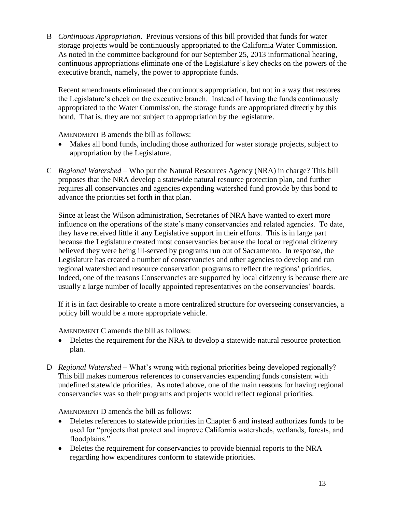B *Continuous Appropriation*. Previous versions of this bill provided that funds for water storage projects would be continuously appropriated to the California Water Commission. As noted in the committee background for our September 25, 2013 informational hearing, continuous appropriations eliminate one of the Legislature's key checks on the powers of the executive branch, namely, the power to appropriate funds.

Recent amendments eliminated the continuous appropriation, but not in a way that restores the Legislature's check on the executive branch. Instead of having the funds continuously appropriated to the Water Commission, the storage funds are appropriated directly by this bond. That is, they are not subject to appropriation by the legislature.

AMENDMENT B amends the bill as follows:

- Makes all bond funds, including those authorized for water storage projects, subject to appropriation by the Legislature.
- C *Regional Watershed –* Who put the Natural Resources Agency (NRA) in charge? This bill proposes that the NRA develop a statewide natural resource protection plan, and further requires all conservancies and agencies expending watershed fund provide by this bond to advance the priorities set forth in that plan.

Since at least the Wilson administration, Secretaries of NRA have wanted to exert more influence on the operations of the state's many conservancies and related agencies. To date, they have received little if any Legislative support in their efforts. This is in large part because the Legislature created most conservancies because the local or regional citizenry believed they were being ill-served by programs run out of Sacramento. In response, the Legislature has created a number of conservancies and other agencies to develop and run regional watershed and resource conservation programs to reflect the regions' priorities. Indeed, one of the reasons Conservancies are supported by local citizenry is because there are usually a large number of locally appointed representatives on the conservancies' boards.

If it is in fact desirable to create a more centralized structure for overseeing conservancies, a policy bill would be a more appropriate vehicle.

AMENDMENT C amends the bill as follows:

- Deletes the requirement for the NRA to develop a statewide natural resource protection plan.
- D *Regional Watershed –* What's wrong with regional priorities being developed regionally? This bill makes numerous references to conservancies expending funds consistent with undefined statewide priorities. As noted above, one of the main reasons for having regional conservancies was so their programs and projects would reflect regional priorities.

AMENDMENT D amends the bill as follows:

- Deletes references to statewide priorities in Chapter 6 and instead authorizes funds to be used for "projects that protect and improve California watersheds, wetlands, forests, and floodplains."
- Deletes the requirement for conservancies to provide biennial reports to the NRA regarding how expenditures conform to statewide priorities.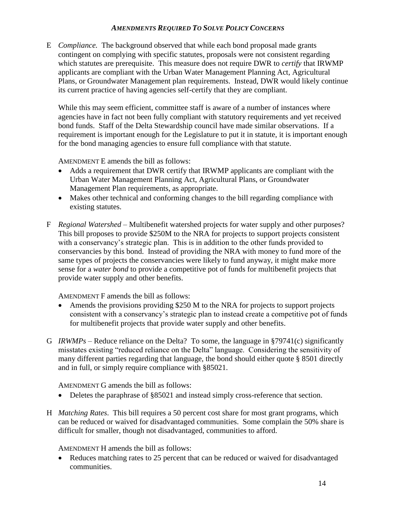### *AMENDMENTS REQUIRED TO SOLVE POLICY CONCERNS*

E *Compliance.* The background observed that while each bond proposal made grants contingent on complying with specific statutes, proposals were not consistent regarding which statutes are prerequisite. This measure does not require DWR to *certify* that IRWMP applicants are compliant with the Urban Water Management Planning Act, Agricultural Plans, or Groundwater Management plan requirements. Instead, DWR would likely continue its current practice of having agencies self-certify that they are compliant.

While this may seem efficient, committee staff is aware of a number of instances where agencies have in fact not been fully compliant with statutory requirements and yet received bond funds. Staff of the Delta Stewardship council have made similar observations. If a requirement is important enough for the Legislature to put it in statute, it is important enough for the bond managing agencies to ensure full compliance with that statute.

AMENDMENT E amends the bill as follows:

- Adds a requirement that DWR certify that IRWMP applicants are compliant with the Urban Water Management Planning Act, Agricultural Plans, or Groundwater Management Plan requirements, as appropriate.
- Makes other technical and conforming changes to the bill regarding compliance with existing statutes.
- F *Regional Watershed –* Multibenefit watershed projects for water supply and other purposes? This bill proposes to provide \$250M to the NRA for projects to support projects consistent with a conservancy's strategic plan. This is in addition to the other funds provided to conservancies by this bond. Instead of providing the NRA with money to fund more of the same types of projects the conservancies were likely to fund anyway, it might make more sense for a *water bond* to provide a competitive pot of funds for multibenefit projects that provide water supply and other benefits.

AMENDMENT F amends the bill as follows:

- Amends the provisions providing \$250 M to the NRA for projects to support projects consistent with a conservancy's strategic plan to instead create a competitive pot of funds for multibenefit projects that provide water supply and other benefits.
- G *IRWMPs* Reduce reliance on the Delta? To some, the language in §79741(c) significantly misstates existing "reduced reliance on the Delta" language. Considering the sensitivity of many different parties regarding that language, the bond should either quote § 8501 directly and in full, or simply require compliance with §85021.

AMENDMENT G amends the bill as follows:

- Deletes the paraphrase of §85021 and instead simply cross-reference that section.
- H *Matching Rates*. This bill requires a 50 percent cost share for most grant programs, which can be reduced or waived for disadvantaged communities. Some complain the 50% share is difficult for smaller, though not disadvantaged, communities to afford.

AMENDMENT H amends the bill as follows:

• Reduces matching rates to 25 percent that can be reduced or waived for disadvantaged communities.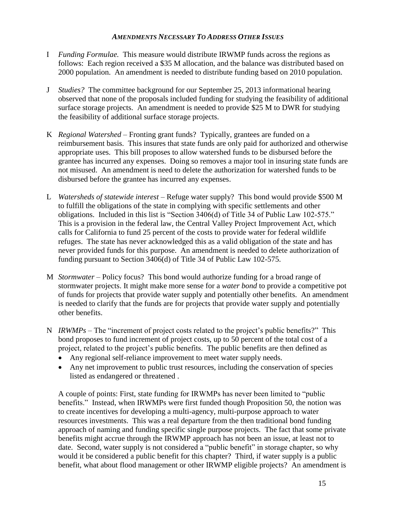#### *AMENDMENTS NECESSARY TO ADDRESS OTHER ISSUES*

- I *Funding Formulae.* This measure would distribute IRWMP funds across the regions as follows: Each region received a \$35 M allocation, and the balance was distributed based on 2000 population. An amendment is needed to distribute funding based on 2010 population.
- J *Studies?* The committee background for our September 25, 2013 informational hearing observed that none of the proposals included funding for studying the feasibility of additional surface storage projects. An amendment is needed to provide \$25 M to DWR for studying the feasibility of additional surface storage projects.
- K *Regional Watershed –* Fronting grant funds? Typically, grantees are funded on a reimbursement basis. This insures that state funds are only paid for authorized and otherwise appropriate uses. This bill proposes to allow watershed funds to be disbursed before the grantee has incurred any expenses. Doing so removes a major tool in insuring state funds are not misused. An amendment is need to delete the authorization for watershed funds to be disbursed before the grantee has incurred any expenses.
- L *Watersheds of statewide interest* Refuge water supply? This bond would provide \$500 M to fulfill the obligations of the state in complying with specific settlements and other obligations. Included in this list is "Section 3406(d) of Title 34 of Public Law 102-575." This is a provision in the federal law, the Central Valley Project Improvement Act, which calls for California to fund 25 percent of the costs to provide water for federal wildlife refuges. The state has never acknowledged this as a valid obligation of the state and has never provided funds for this purpose. An amendment is needed to delete authorization of funding pursuant to Section 3406(d) of Title 34 of Public Law 102-575.
- M *Stormwater* Policy focus? This bond would authorize funding for a broad range of stormwater projects. It might make more sense for a *water bond* to provide a competitive pot of funds for projects that provide water supply and potentially other benefits. An amendment is needed to clarify that the funds are for projects that provide water supply and potentially other benefits.
- N *IRWMPs* The "increment of project costs related to the project's public benefits?" This bond proposes to fund increment of project costs, up to 50 percent of the total cost of a project, related to the project's public benefits. The public benefits are then defined as
	- Any regional self-reliance improvement to meet water supply needs.
	- Any net improvement to public trust resources, including the conservation of species listed as endangered or threatened .

A couple of points: First, state funding for IRWMPs has never been limited to "public benefits." Instead, when IRWMPs were first funded though Proposition 50, the notion was to create incentives for developing a multi-agency, multi-purpose approach to water resources investments. This was a real departure from the then traditional bond funding approach of naming and funding specific single purpose projects. The fact that some private benefits might accrue through the IRWMP approach has not been an issue, at least not to date. Second, water supply is not considered a "public benefit" in storage chapter, so why would it be considered a public benefit for this chapter? Third, if water supply is a public benefit, what about flood management or other IRWMP eligible projects? An amendment is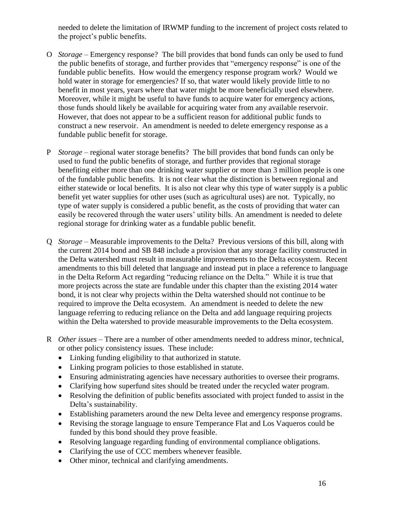needed to delete the limitation of IRWMP funding to the increment of project costs related to the project's public benefits.

- O *Storage* Emergency response? The bill provides that bond funds can only be used to fund the public benefits of storage, and further provides that "emergency response" is one of the fundable public benefits. How would the emergency response program work? Would we hold water in storage for emergencies? If so, that water would likely provide little to no benefit in most years, years where that water might be more beneficially used elsewhere. Moreover, while it might be useful to have funds to acquire water for emergency actions, those funds should likely be available for acquiring water from any available reservoir. However, that does not appear to be a sufficient reason for additional public funds to construct a new reservoir. An amendment is needed to delete emergency response as a fundable public benefit for storage.
- P *Storage* regional water storage benefits? The bill provides that bond funds can only be used to fund the public benefits of storage, and further provides that regional storage benefiting either more than one drinking water supplier or more than 3 million people is one of the fundable public benefits. It is not clear what the distinction is between regional and either statewide or local benefits. It is also not clear why this type of water supply is a public benefit yet water supplies for other uses (such as agricultural uses) are not. Typically, no type of water supply is considered a public benefit, as the costs of providing that water can easily be recovered through the water users' utility bills. An amendment is needed to delete regional storage for drinking water as a fundable public benefit.
- Q *Storage* Measurable improvements to the Delta? Previous versions of this bill, along with the current 2014 bond and SB 848 include a provision that any storage facility constructed in the Delta watershed must result in measurable improvements to the Delta ecosystem. Recent amendments to this bill deleted that language and instead put in place a reference to language in the Delta Reform Act regarding "reducing reliance on the Delta." While it is true that more projects across the state are fundable under this chapter than the existing 2014 water bond, it is not clear why projects within the Delta watershed should not continue to be required to improve the Delta ecosystem. An amendment is needed to delete the new language referring to reducing reliance on the Delta and add language requiring projects within the Delta watershed to provide measurable improvements to the Delta ecosystem.
- R *Other issues* There are a number of other amendments needed to address minor, technical, or other policy consistency issues. These include:
	- Linking funding eligibility to that authorized in statute.
	- Linking program policies to those established in statute.
	- Ensuring administrating agencies have necessary authorities to oversee their programs.
	- Clarifying how superfund sites should be treated under the recycled water program.
	- Resolving the definition of public benefits associated with project funded to assist in the Delta's sustainability.
	- Establishing parameters around the new Delta levee and emergency response programs.
	- Revising the storage language to ensure Temperance Flat and Los Vaqueros could be funded by this bond should they prove feasible.
	- Resolving language regarding funding of environmental compliance obligations.
	- Clarifying the use of CCC members whenever feasible.
	- Other minor, technical and clarifying amendments.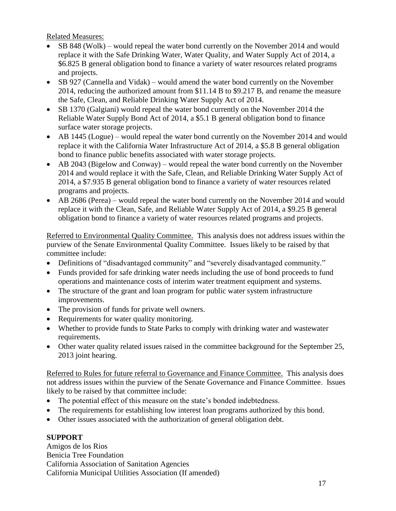Related Measures:

- SB 848 (Wolk) would repeal the water bond currently on the November 2014 and would replace it with the Safe Drinking Water, Water Quality, and Water Supply Act of 2014, a \$6.825 B general obligation bond to finance a variety of water resources related programs and projects.
- SB 927 (Cannella and Vidak) would amend the water bond currently on the November 2014, reducing the authorized amount from \$11.14 B to \$9.217 B, and rename the measure the Safe, Clean, and Reliable Drinking Water Supply Act of 2014.
- SB 1370 (Galgiani) would repeal the water bond currently on the November 2014 the Reliable Water Supply Bond Act of 2014, a \$5.1 B general obligation bond to finance surface water storage projects.
- AB 1445 (Logue) would repeal the water bond currently on the November 2014 and would replace it with the California Water Infrastructure Act of 2014, a \$5.8 B general obligation bond to finance public benefits associated with water storage projects.
- AB 2043 (Bigelow and Conway) would repeal the water bond currently on the November 2014 and would replace it with the Safe, Clean, and Reliable Drinking Water Supply Act of 2014, a \$7.935 B general obligation bond to finance a variety of water resources related programs and projects.
- AB 2686 (Perea) would repeal the water bond currently on the November 2014 and would replace it with the Clean, Safe, and Reliable Water Supply Act of 2014, a \$9.25 B general obligation bond to finance a variety of water resources related programs and projects.

Referred to Environmental Quality Committee. This analysis does not address issues within the purview of the Senate Environmental Quality Committee. Issues likely to be raised by that committee include:

- Definitions of "disadvantaged community" and "severely disadvantaged community."
- Funds provided for safe drinking water needs including the use of bond proceeds to fund operations and maintenance costs of interim water treatment equipment and systems.
- The structure of the grant and loan program for public water system infrastructure improvements.
- The provision of funds for private well owners.
- Requirements for water quality monitoring.
- Whether to provide funds to State Parks to comply with drinking water and wastewater requirements.
- Other water quality related issues raised in the committee background for the September 25, 2013 joint hearing.

Referred to Rules for future referral to Governance and Finance Committee. This analysis does not address issues within the purview of the Senate Governance and Finance Committee. Issues likely to be raised by that committee include:

- The potential effect of this measure on the state's bonded indebtedness.
- The requirements for establishing low interest loan programs authorized by this bond.
- Other issues associated with the authorization of general obligation debt.

# **SUPPORT**

Amigos de los Rios Benicia Tree Foundation California Association of Sanitation Agencies California Municipal Utilities Association (If amended)